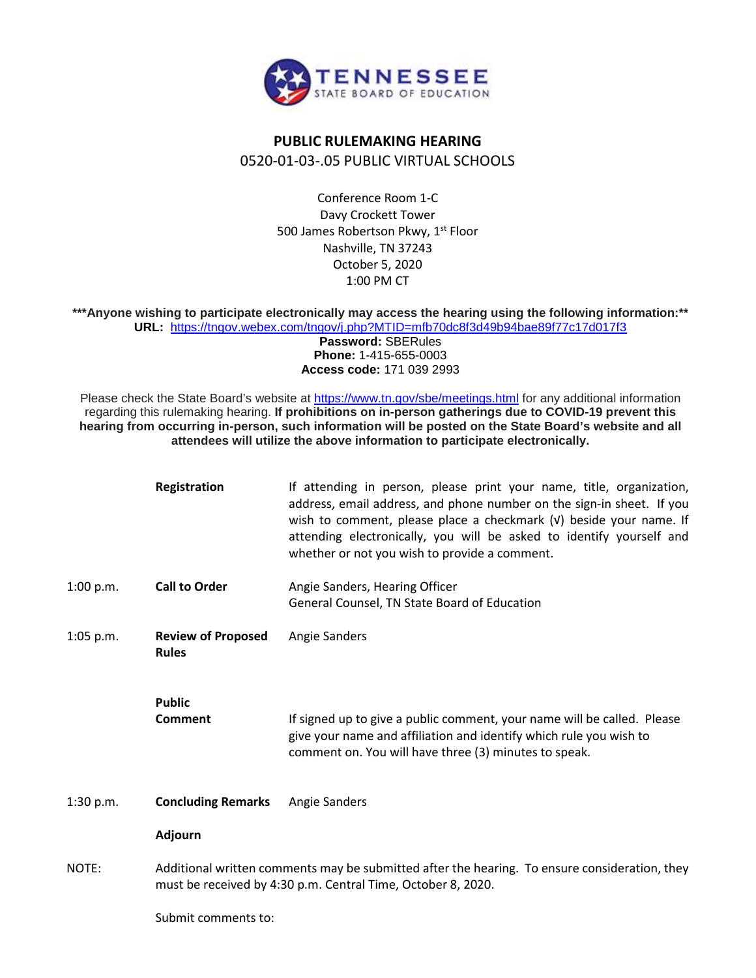

## **PUBLIC RULEMAKING HEARING** 0520-01-03-.05 PUBLIC VIRTUAL SCHOOLS

Conference Room 1-C Davy Crockett Tower 500 James Robertson Pkwy, 1<sup>st</sup> Floor Nashville, TN 37243 October 5, 2020 1:00 PM CT

**\*\*\*Anyone wishing to participate electronically may access the hearing using the following information:\*\* URL:** <https://tngov.webex.com/tngov/j.php?MTID=mfb70dc8f3d49b94bae89f77c17d017f3>

> **Password:** SBERules **Phone:** 1-415-655-0003 **Access code:** 171 039 2993

Please check the State Board's website at<https://www.tn.gov/sbe/meetings.html> for any additional information regarding this rulemaking hearing. **If prohibitions on in-person gatherings due to COVID-19 prevent this hearing from occurring in-person, such information will be posted on the State Board's website and all attendees will utilize the above information to participate electronically.**

|             | Registration                                                                                                                                                  | If attending in person, please print your name, title, organization,<br>address, email address, and phone number on the sign-in sheet. If you<br>wish to comment, please place a checkmark (v) beside your name. If<br>attending electronically, you will be asked to identify yourself and<br>whether or not you wish to provide a comment. |
|-------------|---------------------------------------------------------------------------------------------------------------------------------------------------------------|----------------------------------------------------------------------------------------------------------------------------------------------------------------------------------------------------------------------------------------------------------------------------------------------------------------------------------------------|
| 1:00 p.m.   | <b>Call to Order</b>                                                                                                                                          | Angie Sanders, Hearing Officer<br>General Counsel, TN State Board of Education                                                                                                                                                                                                                                                               |
| $1:05$ p.m. | <b>Review of Proposed</b><br><b>Rules</b>                                                                                                                     | Angie Sanders                                                                                                                                                                                                                                                                                                                                |
|             | <b>Public</b><br><b>Comment</b>                                                                                                                               | If signed up to give a public comment, your name will be called. Please<br>give your name and affiliation and identify which rule you wish to<br>comment on. You will have three (3) minutes to speak.                                                                                                                                       |
| 1:30 p.m.   | <b>Concluding Remarks</b>                                                                                                                                     | <b>Angie Sanders</b>                                                                                                                                                                                                                                                                                                                         |
|             | Adjourn                                                                                                                                                       |                                                                                                                                                                                                                                                                                                                                              |
| NOTE:       | Additional written comments may be submitted after the hearing. To ensure consideration, they<br>must be received by 4:30 p.m. Central Time, October 8, 2020. |                                                                                                                                                                                                                                                                                                                                              |
|             | Submit comments to:                                                                                                                                           |                                                                                                                                                                                                                                                                                                                                              |